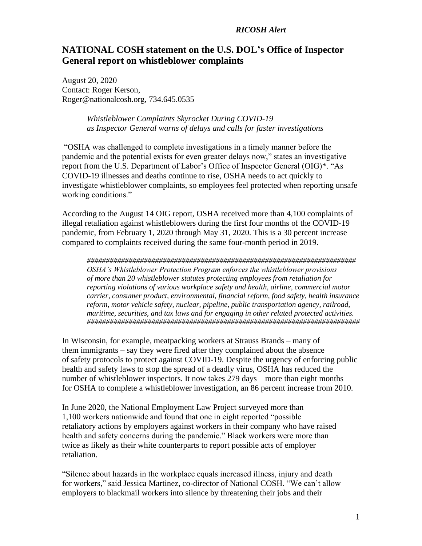## *RICOSH Alert*

## **NATIONAL COSH statement on the U.S. DOL's Office of Inspector General report on whistleblower complaints**

August 20, 2020 Contact: Roger Kerson, Roger@nationalcosh.org, 734.645.0535

> *Whistleblower Complaints Skyrocket During COVID-19 as Inspector General warns of delays and calls for faster investigations*

"OSHA was challenged to complete investigations in a timely manner before the pandemic and the potential exists for even greater delays now," states an investigative report from the U.S. Department of Labor's Office of Inspector General (OIG)\*. "As COVID-19 illnesses and deaths continue to rise, OSHA needs to act quickly to investigate whistleblower complaints, so employees feel protected when reporting unsafe working conditions."

According to the August 14 OIG report, OSHA received more than 4,100 complaints of illegal retaliation against whistleblowers during the first four months of the COVID-19 pandemic, from February 1, 2020 through May 31, 2020. This is a 30 percent increase compared to complaints received during the same four-month period in 2019.

*####################################################################### OSHA's Whistleblower Protection Program enforces the whistleblower provisions of more than 20 [whistleblower statutes](https://www.whistleblowers.gov/whistleblower_acts-desk_reference) protecting employees from retaliation for reporting violations of various workplace safety and health, airline, commercial motor carrier, consumer product, environmental, financial reform, food safety, health insurance reform, motor vehicle safety, nuclear, pipeline, public transportation agency, railroad, maritime, securities, and tax laws and for engaging in other related protected activities. ########################################################################*

In Wisconsin, for example, meatpacking workers at Strauss Brands – many of them immigrants – say they were fired after they complained about the absence of safety protocols to protect against COVID-19. Despite the urgency of enforcing public health and safety laws to stop the spread of a deadly virus, OSHA has reduced the number of whistleblower inspectors. It now takes 279 days – more than eight months – for OSHA to complete a whistleblower investigation, an 86 percent increase from 2010.

In June 2020, the National Employment Law Project surveyed more than 1,100 workers nationwide and found that one in eight reported "possible retaliatory actions by employers against workers in their company who have raised health and safety concerns during the pandemic." Black workers were more than twice as likely as their white counterparts to report possible acts of employer retaliation.

"Silence about hazards in the workplace equals increased illness, injury and death for workers," said Jessica Martinez, co-director of National COSH. "We can't allow employers to blackmail workers into silence by threatening their jobs and their